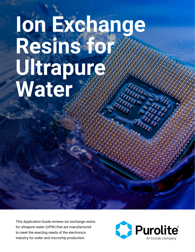# **Ion Exchange Resins for**  Ultrapure. **Water**

This Application Guide reviews ion exchange resins for ultrapure water (UPW) that are manufactured to meet the exacting needs of the electronics industry for wafer and microchip production.

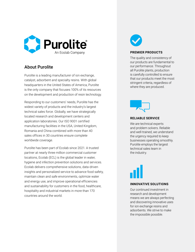

### About Purolite

Purolite is a leading manufacturer of ion exchange, catalyst, adsorbent and specialty resins. With global headquarters in the United States of America, Purolite is the only company that focuses 100% of its resources on the development and production of resin technology.

Responding to our customers' needs, Purolite has the widest variety of products and the industry's largest technical sales force. Globally, we have strategically located research and development centers and application laboratories. Our ISO 9001 certified manufacturing facilities in the USA, United Kingdom, Romania and China combined with more than 40 sales offices in 30 countries ensure complete worldwide coverage.

Purolite has been part of Ecolab since 2021. A trusted partner at nearly three million commercial customer locations, Ecolab (ECL) is the global leader in water, hygiene and infection prevention solutions and services. Ecolab delivers comprehensive solutions, data-driven insights and personalized service to advance food safety, maintain clean and safe environments, optimize water and energy use, and improve operational efficiencies and sustainability for customers in the food, healthcare, hospitality and industrial markets in more than 170 countries around the world.



#### **PREMIER PRODUCTS**

The quality and consistency of our products are fundamental to our performance. Throughout all Purolite plants, production is carefully controlled to ensure that our products meet the most stringent criteria, regardless of where they are produced.



#### **RELIABLE SERVICE**

We are technical experts and problem solvers. Reliable and well-trained, we understand the urgency required to keep businesses operating smoothly. Purolite employs the largest technical sales team in the industry.



#### **INNOVATIVE SOLUTIONS**

Our continued investment in research and development means we are always perfecting and discovering innovative uses for ion exchange resins and adsorbents. We strive to make the impossible possible.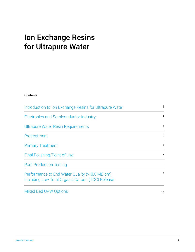## Ion Exchange Resins for Ultrapure Water

#### Contents

| Introduction to Ion Exchange Resins for Ultrapure Water                                                    |                |
|------------------------------------------------------------------------------------------------------------|----------------|
| <b>Electronics and Semiconductor Industry</b>                                                              | 4              |
| Ultrapure Water Resin Requirements                                                                         | 5              |
| Pretreatment                                                                                               | 6              |
| <b>Primary Treatment</b>                                                                                   | 6              |
| Final Polishing/Point of Use                                                                               | $\overline{7}$ |
| <b>Post Production Testing</b>                                                                             | 8              |
| Performance to End Water Quality (>18.0 $M\Omega$ ·cm)<br>Including Low Total Organic Carbon (TOC) Release | 9              |
| <b>Mixed Bed UPW Options</b>                                                                               | 10             |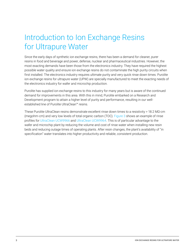# <span id="page-3-0"></span>Introduction to Ion Exchange Resins for Ultrapure Water

Since the early days of synthetic ion exchange resins, there has been a demand for cleaner, purer resins in food and beverage and power, defense, nuclear and pharmaceutical industries. However, the most exacting demands have been those from the electronics industry. They have required the highest possible water quality and ensure ion exchange resins do not contaminate the high purity circuits when first installed. The electronics industry requires ultimate purity and very quick rinse down times. Purolite ion exchange resins for ultrapure water (UPW) are specially manufactured to meet the exacting needs of the electronics industry for wafer and microchip production.

Purolite has supplied ion exchange resins to this industry for many years but is aware of the continued demand for improvements in this area. With this in mind, Purolite embarked on a Research and Development program to attain a higher level of purity and performance, resulting in our wellestablished line of Purolite UltraClean™ resins.

These Purolite UltraClean resins demonstrate excellent rinse down times to a resistivity > 18.2 MΩ·cm (megohm-cm) and very low levels of total organic carbon (TOC). [Figure 3](#page-10-0) shows an example of rinse profiles for [UltraClean UCW9966](https://www.purolite.com/product/ucw9966) and [UltraClean UCW9964.](https://www.purolite.com/product/ucw9964) This is of particular advantage to the wafer and microchip plant by reducing the volume and cost of rinse water when installing new resin beds and reducing outage times of operating plants. After resin changes, the plant's availability of "in specification" water translates into higher productivity and reliable, consistent production.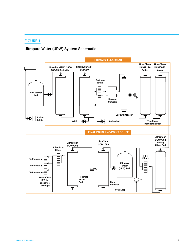#### <span id="page-4-0"></span>FIGURE 1

### Ultrapure Water (UPW) System Schematic

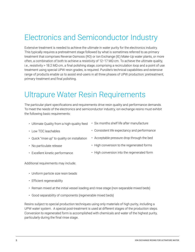# <span id="page-5-0"></span>Electronics and Semiconductor Industry

Extensive treatment is needed to achieve the ultimate in water purity for the electronics industry. This typically requires a pretreatment stage followed by what is sometimes referred to as primary treatment that comprises Reverse Osmosis (RO) or Ion Exchange (IE) Make-Up water plants, or more often, a combination of both to achieve a resistivity of  $12-17 \text{ M}\Omega$ ·cm. To achieve the ultimate quality, i.e., resistivity > 18.2 MΩ·cm, a final polishing stage, comprising a recirculation loop and a point of use treatment using special UPW resin grades, is required. Purolite's technical capabilities and extensive range of products enable us to assist end-users in all three phases of UPW production: pretreatment, primary treatment and final polishing.

### Ultrapure Water Resin Requirements

The particular plant specifications and requirements drive resin quality and performance demands. To meet the needs of the electronics and semiconductor industry, ion exchange resins must exhibit the following basic requirements:

- Ultimate Quality from a high-quality feed • Six months shelf life after manufacture
- Low TOC leachables
- Quick "rinse up" to quality on installation
- No particulate release
- Excellent kinetic performance
- Consistent life expectancy and performance
- Acceptable pressure drop through the bed
- High conversion to the regenerated forms
- High conversion into the regenerated form

Additional requirements may include:

- Uniform particle size resin beads
- Efficient regenerability
- Remain mixed at the initial vessel loading and rinse stage (non-separable mixed beds)
- Good separability of components (regenerable mixed beds)

Resins subject to special production techniques using only materials of high purity, including a UPW water system. A special post-treatment is used at different stages of the production steps. Conversion to regenerated form is accomplished with chemicals and water of the highest purity, particularly during the final rinse stage.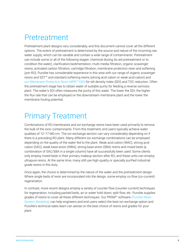### <span id="page-6-0"></span>Pretreatment

Pretreatment plant designs vary considerably, and this document cannot cover all the different options. The extent of pretreatment is determined by the source and nature of the incoming raw water supply, which can be variable and contain a wide range of contaminants. Pretreatment can include some or all of the following stages: chemical dosing (to aid pretreatment or to condition the water), clarification/sedimentation, multi-media filtration, organic scavenger resins, activated carbon filtration, cartridge filtration, membrane protection resin and softening (pre-RO). Purolite has considerable experience in this area with our range of organic scavenger resins and SST™ and standard softening resins (strong acid cation or weak acid cation) and [our Membrane Protection Resin MPR™1000](https://www.purolite.com/product/mpr1000) for silt density index (SDI) and TOC reduction. Often the pretreatment stage has to obtain water of suitable purity for feeding a reverse osmosis plant. The water's SDI often measures the purity of this water. The lower the SDI, the higher the flux rate that can be employed on the downstream membrane plant and the lower the membrane fouling potential.

# Primary Treatment

Combinations of RO membranes and ion exchange resins have been used primarily to remove the bulk of the ionic contaminants. From this treatment, end users typically achieve water qualities of 12–17 MΩ·cm. The ion exchange section can vary considerably depending on if there is a preceding RO plant. Many different ion exchange combinations can be employed depending on the quality of the water fed to the plant. Weak acid cation (WAC), strong acid cation (SAC), weak base anion (WBA), strong base anion (SBA) resins and mixed beds (a combination of SAC/SBA in a single column) have all successfully been used. Some clients only employ mixed beds in their primary makeup section after RO, and these units can employ ultrapure resins. At the same time, many still use high-quality or specially purified industrial grade resins in this duty.

Once again, the choice is determined by the nature of the water and the pretreatment design. Where single beds of resin are incorporated into the design, some employ co-flow (co-current) regeneration.

In contrast, more recent designs employ a variety of counter-flow (counter-current) techniques for regeneration, including packed beds, air or water hold down, split flow, etc. Purolite supplies grades of resins to cover all these different techniques. Our PRSM™ software [\(Purolite Resin](https://www.purolite.com/index/Company/Tools/purolite-resin-system-modeling-software)  [System Modeling\)](https://www.purolite.com/index/Company/Tools/purolite-resin-system-modeling-software) can help engineers and end-users select the best ion exchange option and Purolite's technical sales team can advise on the best choice of resins and grades for your plant.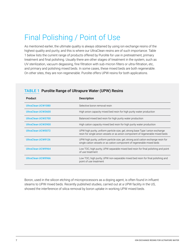# <span id="page-7-0"></span>Final Polishing / Point of Use

As mentioned earlier, the ultimate quality is always obtained by using ion exchange resins of the highest quality and purity, and this is where our UltraClean resins are of such importance. Table 1 below lists the current range of products offered by Purolite for use in pretreatment, primary treatment and final polishing. Usually there are other stages of treatment in the system, such as UV sterilization, vacuum degassing, fine filtration with sub-micron filters or ultra-filtration, etc, and primary and polishing mixed beds. In some cases, these mixed beds are both regenerable. On other sites, they are non-regenerable. Purolite offers UPW resins for both applications.

| Product                   | <b>Description</b>                                                                                                                                               |
|---------------------------|------------------------------------------------------------------------------------------------------------------------------------------------------------------|
| UltraClean UCW1080        | Selective boron removal resin                                                                                                                                    |
| UltraClean UCW3600        | High anion capacity mixed bed resin for high purity water production                                                                                             |
| UltraClean UCW3700        | Balanced mixed bed resin for high purity water production                                                                                                        |
| UltraClean UCW3900        | High cation capacity mixed bed resin for high purity water production                                                                                            |
| UltraClean UCW5072        | UPW high purity, uniform particle size, gel, strong base Type I anion exchange<br>resin for single anion vessels or as anion component of regenerable mixed beds |
| <b>UltraClean UCW9126</b> | UPW high purity, uniform particle size, gel, strong acid cation exchange resin for<br>single cation vessels or as cation component of regenerable mixed beds     |
| <b>UltraClean UCW9964</b> | Low TOC, high purity, UPW separable mixed bed resin for final polishing and point<br>of use treatment                                                            |
| <b>UltraClean UCW9966</b> | Low TOC, high purity, UPW non-separable mixed bed resin for final polishing and<br>point of use treatment                                                        |

### TABLE 1 Purolite Range of Ultrapure Water (UPW) Resins

Boron, used in the silicon etching of microprocessors as a doping agent, is often found in influent steams to UPW mixed beds. Recently published studies, carried out at a UPW facility in the US, showed the interference of silica removal by boron uptake in working UPW mixed beds.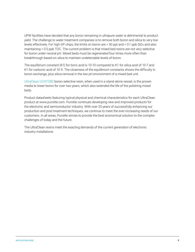UPW facilities have decided that any boron remaining in ultrapure water is detrimental to product yield. The challenge to water treatment companies is to remove both boron and silica to very low levels effectively. For high GP chips, the limits on boron are < 50 ppt and < 0.1 ppb SiO2 and also maintaining < 0.5 ppb TOC. The current problem is that mixed bed resins are not very selective for boron under neutral pH. Mixed beds must be regenerated four times more often than breakthrough based on silica to maintain undetectable levels of boron.

The equilibrium constant (K1) for boric acid is 10-10 compared to K1 for silica acid of 10-7 and K1 for carbonic acid of 10-5. The closeness of the equilibrium constants shows the difficulty in boron exchange, plus silica removal in the low pH environment of a mixed bed unit.

[UltraClean UCW1080](https://www.purolite.com/product/ucw1080) boron selective resin, when used in a stand-alone vessel, is the proven media to lower boron for over two years, which also extended the life of the polishing mixed beds.

Product datasheets featuring typical physical and chemical characteristics for each UltraClean product at www.purolite.com. Purolite continues developing new and improved products for the electronic and semiconductor industry. With over 25 years of successfully enhancing our production and post-treatment techniques, we continue to meet the ever-increasing needs of our customers. In all areas, Purolite strives to provide the best economical solution to the complex challenges of today and the future.

The UltraClean resins meet the exacting demands of the current generation of electronic industry installations.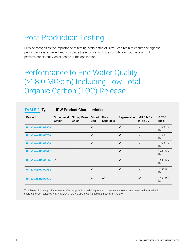# <span id="page-9-0"></span>Post Production Testing

Purolite recognizes the importance of testing every batch of UltraClean resin to ensure the highest performance is achieved and to provide the end-user with the confidence that the resin will perform consistently, as expected in the application.

## Performance to End Water Quality (>18.0 MΩ·cm) Including Low Total Organic Carbon (TOC) Release

| <b>Product</b>            | <b>Strong Acid</b><br>Cation | <b>Strong Base</b><br>Anion | <b>Mixed</b><br><b>Bed</b> | Non-<br>Separable | Regenerable  | $>18.0$ MΩ $\cdot$ cm<br>in < 2 BV | A TOC<br>(ppb)            |
|---------------------------|------------------------------|-----------------------------|----------------------------|-------------------|--------------|------------------------------------|---------------------------|
| <b>UltraClean UCW3600</b> |                              |                             | ✓                          |                   | ✓            | $\checkmark$                       | $< 10$ in 40<br><b>BV</b> |
| <b>UltraClean UCW3700</b> |                              |                             | $\checkmark$               |                   | $\checkmark$ | $\checkmark$                       | $< 10$ in 40<br><b>BV</b> |
| UltraClean UCW3900        |                              |                             | $\checkmark$               |                   | $\checkmark$ | $\checkmark$                       | $< 10$ in 40<br><b>BV</b> |
| <b>UltraClean UCW5072</b> |                              | $\checkmark$                |                            |                   | $\checkmark$ |                                    | $< 2$ in 100<br><b>BV</b> |
| UltraClean UCW9126        | $\checkmark$                 |                             |                            |                   | $\checkmark$ |                                    | $< 6$ in 100<br><b>BV</b> |
| <b>UltraClean UCW9964</b> |                              |                             | ✓                          |                   | $\checkmark$ | $\checkmark$                       | $< 1$ in 100<br><b>BV</b> |
| <b>UltraClean UCW9966</b> |                              |                             | $\checkmark$               | $\checkmark$      |              | $\checkmark$                       | $< 1$ in 100<br><b>BV</b> |

### TABLE 2 Typical UPW Product Characteristics

To achieve ultimate quality from our UCW range in final polishing mode, it is necessary to use rinse water with the following characteristics: resistivity > 17.5 MΩ·cm, TOC < 2 ppb, SiO2 < 2 ppb at a flow rate > 30 BV/h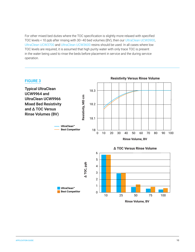<span id="page-10-0"></span>For other mixed bed duties where the TOC specification is slightly more relaxed with specified TOC levels < 10 ppb after rinsing with 30–40 bed volumes (BV), then our [UltraClean UCW3900,](https://www.purolite.com/product/ucw3900) [UltraClean UCW3700](https://www.purolite.com/product/ucw3700) and [UltraClean UCW3600](https://www.purolite.com/product/ucw3600) resins should be used. In all cases where low TOC levels are required, it is assumed that high purity water with only trace TOC is present in the water being used to rinse the beds before placement in service and the during service operation.



**Rinse Volume, BV**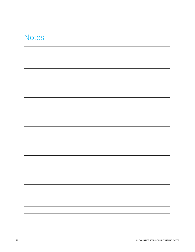### **Notes**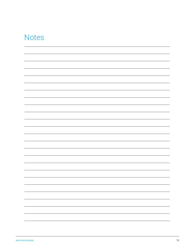### **Notes**

|  |  | $\overline{\phantom{a}}$ |
|--|--|--------------------------|